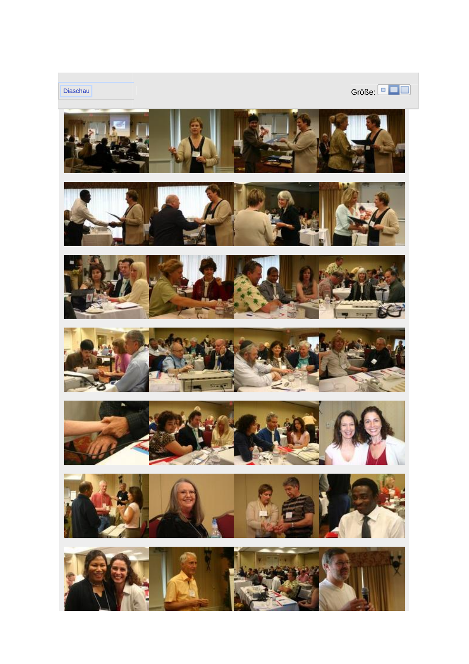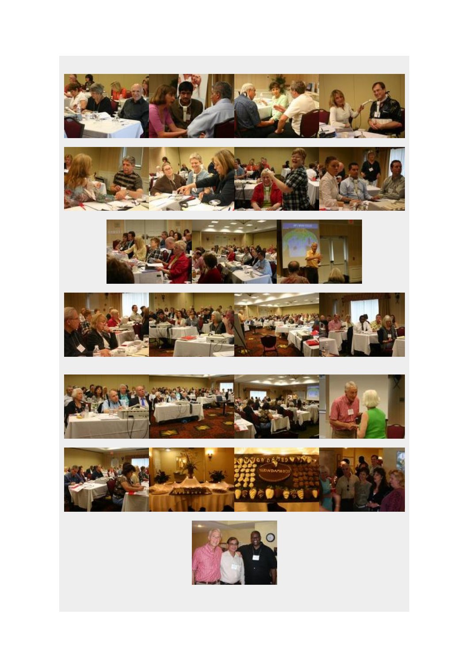











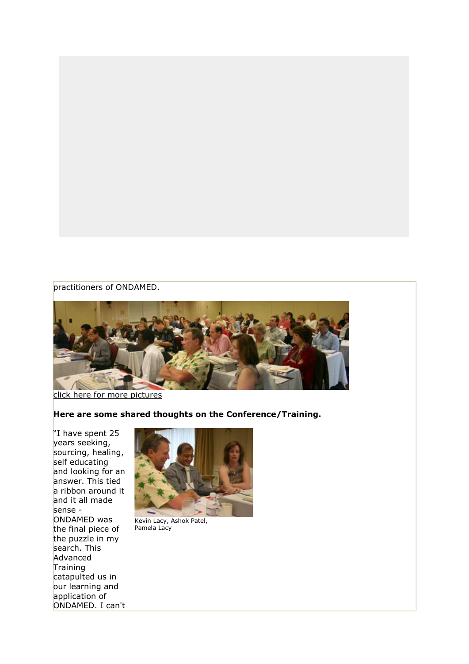## practitioners of ONDAMED.



click here for more pictures

## **Here are some shared thoughts on the Conference/Training.**

"I have spent 25 years seeking, sourcing, healing, self educating and looking for an answer. This tied a ribbon around it and it all made sense - ONDAMED was the final piece of the puzzle in my search. This Advanced **Training** catapulted us in our learning and application of ONDAMED. I can't



Kevin Lacy, Ashok Patel, Pamela Lacy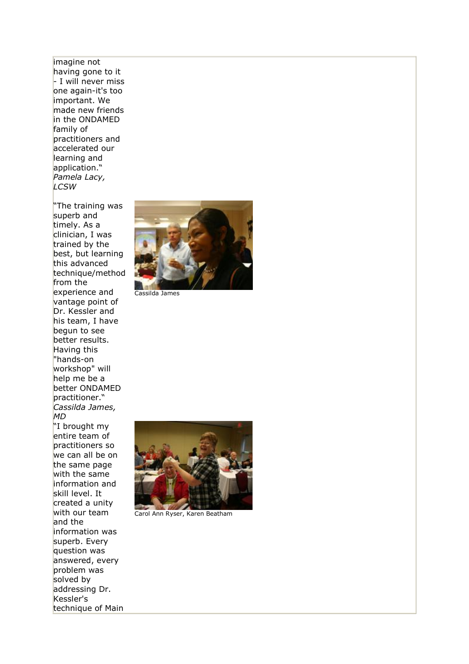imagine not having gone to it - I will never miss one again-it's too important. We made new friends in the ONDAMED family of practitioners and accelerated our learning and application." *Pamela Lacy, LCSW*

The training was superb and timely. As a clinician, I was trained by the best, but learning this advanced technique/method from the experience and vantage point of Dr. Kessler and his team, I have begun to see better results. Having this "hands-on workshop" will help me be a better ONDAMED practitioner." *Cassilda James, MD* "I brought my entire team of practitioners so we can all be on the same page with the same information and skill level. It

created a unity with our team and the information was superb. Every question was answered, every problem was solved by addressing Dr. Kessler's

technique of Main



Cassilda James



Carol Ann Ryser, Karen Beatham